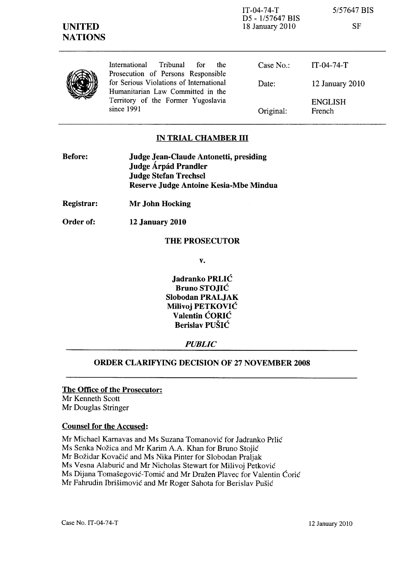| <b>UNITED</b><br><b>NATIONS</b> |                                                                               | $IT-04-74-T$<br>D5 - 1/57647 BIS<br>18 January 2010 | 5/57647 BIS<br><b>SF</b> |
|---------------------------------|-------------------------------------------------------------------------------|-----------------------------------------------------|--------------------------|
|                                 | International<br>Tribunal<br>the<br>for<br>Prosecution of Persons Responsible | Case $No.$ :                                        | $IT-04-74-T$             |
|                                 | for Serious Violations of International<br>Humanitarian Law Committed in the  | Date:                                               | $12$ January $2010$      |
|                                 | Territory of the Former Yugoslavia<br>since 1991                              | Original:                                           | <b>ENGLISH</b><br>French |

# **IN TRIAL CHAMBER III**

| Judge Jean-Claude Antonetti, presiding |
|----------------------------------------|
| Judge Árpád Prandler                   |
| <b>Judge Stefan Trechsel</b>           |
| Reserve Judge Antoine Kesia-Mbe Mindua |
|                                        |

**Registrar: Mr John Hocking** 

**Order of: 12 January 2010** 

#### **THE PROSECUTOR**

**v.** 

**Jadranko PRLIC Bruno STOJIC Slobodan PRALJAK Milivoj PETKOVIC Valentin CORIC Berislav PUSIC** 

### *PUBLIC*

# **ORDER CLARIFYING DECISION OF 27 NOVEMBER 2008**

**The Office of the Prosecutor:**  Mr Kenneth Scott Mr Douglas Stringer

### **Counsel for the Accused:**

Mr Michael Karnavas and Ms Suzana Tomanović for Jadranko Prlić Ms Senka Nožica and Mr Karim A.A. Khan for Bruno Stojić Mr Božidar Kovačić and Ms Nika Pinter for Slobodan Praljak Ms Vesna Alaburić and Mr Nicholas Stewart for Milivoj Petković Ms Dijana Tomašegović-Tomić and Mr Dražen Plavec for Valentin Ćorić Mr Fahrudin Ibrišimović and Mr Roger Sahota for Berislav Pušić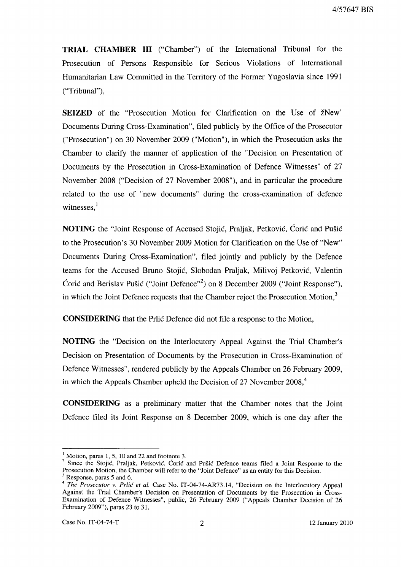**TRIAL CHAMBER III** ("Chamber") of the International Tribunal for the Prosecution of Persons Responsible for Serious Violations of International Humanitarian Law Committed in the Territory of the Former Yugoslavia since 1991 ("Tribunal"),

**SEIZED** of the "Prosecution Motion for Clarification on the Use of žNew" Documents During Cross-Examination", filed publicly by the Office of the Prosecutor ("Prosecution") on 30 November 2009 ("Motion"), in which the Prosecution asks the Chamber to clarify the manner of application of the "Decision on Presentation of Documents by the Prosecution in Cross-Examination of Defence Witnesses" of 27 November 2008 ("Decision of 27 November 2008"), and in particular the procedure related to the use of "new documents" during the cross-examination of defence witnesses. $<sup>1</sup>$ </sup>

**NOTING** the "Joint Response of Accused Stojić, Praljak, Petković, Ćorić and Pušić to the Prosecution's 30 November 2009 Motion for Clarification on the Use of "New" Documents During Cross-Examination", filed jointly and publicly by the Defence teams for the Accused Bruno Stojić, Slobodan Praljak, Milivoj Petković, Valentin Coric and Berislav Pušic ("Joint Defence"<sup>2</sup>) on 8 December 2009 ("Joint Response"), in which the Joint Defence requests that the Chamber reject the Prosecution Motion,<sup>3</sup>

**CONSIDERING** that the Prlic Defence did not file a response to the Motion,

**NOTING** the "Decision on the Interlocutory Appeal Against the Trial Chamber's Decision on Presentation of Documents by the Prosecution in Cross-Examination of Defence Witnesses", rendered publicly by the Appeals Chamber on 26 February 2009, in which the Appeals Chamber upheld the Decision of 27 November  $2008<sup>4</sup>$ ,

**CONSIDERING** as a preliminary matter that the Chamber notes that the Joint Defence filed its Joint Response on 8 December 2009, which is one day after the

Motion, paras 1, 5, 10 and 22 and footnote 3.

<sup>&</sup>lt;sup>2</sup> Since the Stojić, Praljak, Petković, Ćorić and Pušić Defence teams filed a Joint Response to the Prosecution Motion, the Chamber will refer to the "Joint Defence" as an entity for this Decision. Response, paras 5 and 6.

<sup>&</sup>lt;sup>4</sup> The Prosecutor v. Prlic et al. Case No. IT-04-74-AR73.14, "Decision on the Interlocutory Appeal Against the Trial Chamber's Decision on Presentation of Documents by the Prosecution in Cross-Examination of Defence Witnesses", public, 26 February 2009 ("Appeals Chamber Decision of 26 February 2009"), paras 23 to 31.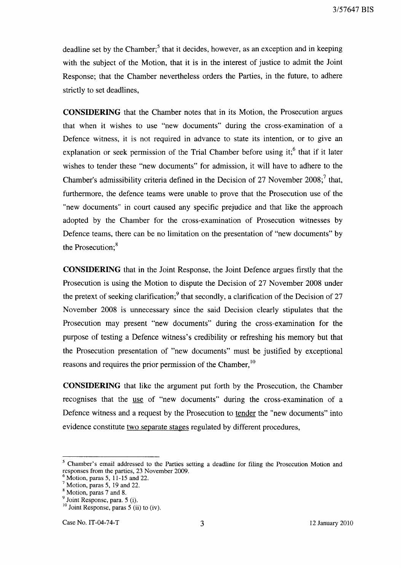deadline set by the Chamber; $5$  that it decides, however, as an exception and in keeping with the subject of the Motion, that it is in the interest of justice to admit the Joint Response; that the Chamber nevertheless orders the Parties, in the future, to adhere strictly to set deadlines,

**CONSIDERING** that the Chamber notes that in its Motion, the Prosecution argues that when it wishes to use "new documents" during the cross-examination of a Defence witness, it is not required in advance to state its intention, or to give an explanation or seek permission of the Trial Chamber before using it; $<sup>6</sup>$  that if it later</sup> wishes to tender these "new documents" for admission, it will have to adhere to the Chamber's admissibility criteria defined in the Decision of 27 November 2008;<sup>7</sup> that, furthermore, the defence teams were unable to prove that the Prosecution use of the "new documents" in court caused any specific prejudice and that like the approach adopted by the Chamber for the cross-examination of Prosecution witnesses by Defence teams, there can be no limitation on the presentation of "new documents" by the Prosecution;<sup>8</sup>

**CONSIDERING** that in the Joint Response, the Joint Defence argues firstly that the Prosecution is using the Motion to dispute the Decision of 27 November 2008 under the pretext of seeking clarification;<sup>9</sup> that secondly, a clarification of the Decision of 27 November 2008 is unnecessary since the said Decision clearly stipulates that the Prosecution may present "new documents" during the cross-examination for the purpose of testing a Defence witness's credibility or refreshing his memory but that the Prosecution presentation of "new documents" must be justified by exceptional reasons and requires the prior permission of the Chamber,<sup>10</sup>

**CONSIDERING** that like the argument put forth by the Prosecution, the Chamber recognises that the use of "new documents" during the cross-examination of a Defence witness and a request by the Prosecution to tender the "new documents" into evidence constitute two separate stages regulated by different procedures,

<sup>5</sup> Chamber's email addressed to the Parties setting a deadline for filing the Prosecution Motion and responses from the parties, 23 November 2009.

Motion, paras 5, 11-15 and 22.

 $7$  Motion, paras 5, 19 and 22.

<sup>8</sup> Motion, paras 7 and 8.

<sup>&</sup>lt;sup>9</sup> Joint Response, para. 5 (i).

 $10$  Joint Response, paras 5 (ii) to (iv).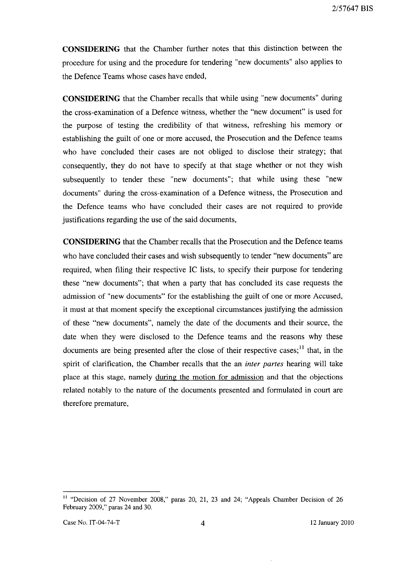**CONSIDERING** that the Chamber further notes that this distinction between the procedure for using and the procedure for tendering "new documents" also applies to the Defence Teams whose cases have ended,

**CONSIDERING** that the Chamber recalls that while using "new documents" during the cross-examination of a Defence witness, whether the "new document" is used for the purpose of testing the credibility of that witness, refreshing his memory or establishing the guilt of one or more accused, the Prosecution and the Defence teams who have concluded their cases are not obliged to disclose their strategy; that consequently, they do not have to specify at that stage whether or not they wish subsequently to tender these "new documents"; that while using these "new documents" during the cross-examination of a Defence witness, the Prosecution and the Defence teams who have concluded their cases are not required to provide justifications regarding the use of the said documents,

**CONSIDERING** that the Chamber recalls that the Prosecution and the Defence teams who have concluded their cases and wish subsequently to tender "new documents" are required, when filing their respective IC lists, to specify their purpose for tendering these "new documents"; that when a party that has concluded its case requests the admission of "new documents" for the establishing the guilt of one or more Accused, it must at that moment specify the exceptional circumstances justifying the admission of these "new documents", namely the date of the documents and their source, the date when they were disclosed to the Defence teams and the reasons why these documents are being presented after the close of their respective cases; $<sup>11</sup>$  that, in the</sup> spirit of clarification, the Chamber recalls that the an *inter partes* hearing will take place at this stage, namely during the motion for admission and that the objections related notably to the nature of the documents presented and formulated in court are therefore premature,

<sup>&</sup>lt;sup>11</sup> "Decision of 27 November 2008," paras 20, 21, 23 and 24; "Appeals Chamber Decision of 26 February 2009," paras 24 and 30.